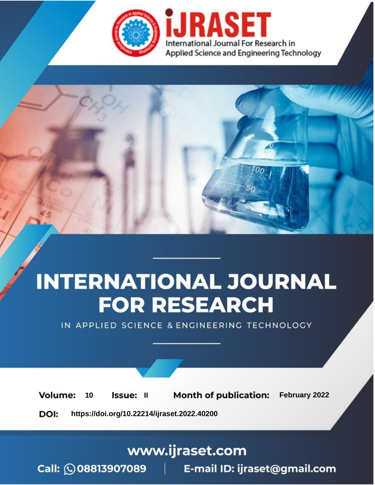

# **INTERNATIONAL JOURNAL FOR RESEARCH**

IN APPLIED SCIENCE & ENGINEERING TECHNOLOGY

**Month of publication:** February 2022 **Volume:** 10 **Issue: II** DOI: https://doi.org/10.22214/ijraset.2022.40200

www.ijraset.com

 $Call: \bigcirc$ 08813907089 E-mail ID: ijraset@gmail.com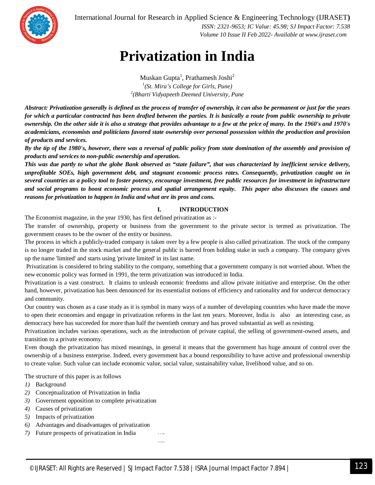

 *ISSN: 2321-9653; IC Value: 45.98; SJ Impact Factor: 7.538 Volume 10 Issue II Feb 2022- Available at www.ijraset.com*

## **Privatization in India**

Muskan Gupta<sup>1</sup>, Prathamesh Joshi<sup>2</sup> *1 (St. Mira's College for Girls, Pune) 2 (Bharti Vidyapeeth Deemed University, Pune*

*Abstract: Privatization generally is defined as the process of transfer of ownership, it can also be permanent or just for the years for which a particular contracted has been drafted between the parties. It is basically a route from public ownership to private ownership. On the other side it is also a strategy that provides advantage to a few at the price of many. In the 1960's and 1970's academicians, economists and politicians favored state ownership over personal possession within the production and provision of products and services.* 

*By the tip of the 1980's, however, there was a reversal of public policy from state domination of the assembly and provision of products and services to non-public ownership and operation.* 

*This was due partly to what the globe Bank observed as "state failure", that was characterized by inefficient service delivery, unprofitable SOEs, high government debt, and stagnant economic process rates. Consequently, privatization caught on in several countries as a policy tool to foster potency, encourage investment, free public resources for investment in infrastructure and social programs to boost economic process and spatial arrangement equity. This paper also discusses the causes and reasons for privatization to happen in India and what are its pros and cons.* 

## **I. INTRODUCTION**

The Economist magazine, in the year 1930, has first defined privatization as :-

The transfer of ownership, property or business from the government to the private sector is termed as privatization. The government ceases to be the owner of the entity or business.

The process in which a publicly-traded company is taken over by a few people is also called privatization. The stock of the company is no longer traded in the stock market and the general public is barred from holding stake in such a company. The company gives up the name 'limited' and starts using 'private limited' in its last name.

Privatization is considered to bring stability to the company, something that a government company is not worried about. When the new economic policy was formed in 1991, the term privatization was introduced in India.

Privatization is a vast construct. It claims to unleash economic freedoms and allow private initiative and enterprise. On the other hand, however, privatization has been denounced for its essentialist notions of efficiency and rationality and for undercut democracy and community.

Our country was chosen as a case study as it is symbol in many ways of a number of developing countries who have made the move to open their economies and engage in privatization reforms in the last ten years. Moreover, India is also an interesting case, as democracy here has succeeded for more than half the twentieth century and has proved substantial as well as resisting.

Privatization includes various operations, such as the introduction of private capital, the selling of government-owned assets, and transition to a private economy.

Even though the privatization has mixed meanings, in general it means that the government has huge amount of control over the ownership of a business enterprise. Indeed, every government has a bound responsibility to have active and professional ownership to create value. Such value can include economic value, social value, sustainability value, livelihood value, and so on.

The structure of this paper is as follows

- *1)* Background
- *2)* Conceptualization of Privatization in India
- *3)* Government opposition to complete privatization
- *4)* Causes of privatization
- *5)* Impacts of privatization
- *6)* Advantages and disadvantages of privatization
- *7)* Future prospects of privatization in India ….

©IJRASET: All Rights are Reserved | SJ Impact Factor 7.538 | ISRA Journal Impact Factor 7.894 <sup>|</sup> 123

…..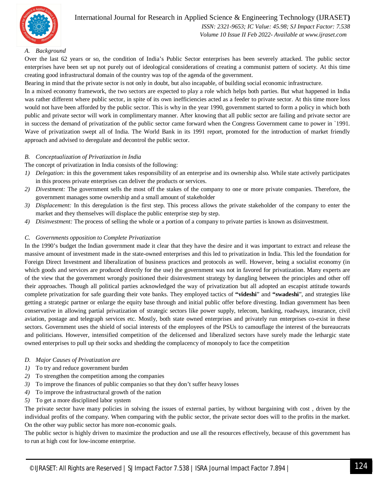

 *ISSN: 2321-9653; IC Value: 45.98; SJ Impact Factor: 7.538 Volume 10 Issue II Feb 2022- Available at www.ijraset.com*

## *A. Background*

Over the last 62 years or so, the condition of India's Public Sector enterprises has been severely attacked. The public sector enterprises have been set up not purely out of ideological considerations of creating a communist pattern of society. At this time creating good infrastructural domain of the country was top of the agenda of the government.

Bearing in mind that the private sector is not only in doubt, but also incapable, of building social economic infrastructure.

In a mixed economy framework, the two sectors are expected to play a role which helps both parties. But what happened in India was rather different where public sector, in spite of its own inefficiencies acted as a feeder to private sector. At this time more loss would not have been afforded by the public sector. This is why in the year 1990, government started to form a policy in which both public and private sector will work in complimentary manner. After knowing that all public sector are failing and private sector are in success the demand of privatization of the public sector came forward when the Congress Government came to power in `1991. Wave of privatization swept all of India. The World Bank in its 1991 report, promoted for the introduction of market friendly approach and advised to deregulate and decontrol the public sector.

#### *B. Conceptualization of Privatization in India*

The concept of privatization in India consists of the following:

- *1) Delegation:* in this the government takes responsibility of an enterprise and its ownership also. While state actively participates in this process private enterprises can deliver the products or services.
- *2) Divestment:* The government sells the most off the stakes of the company to one or more private companies. Therefore, the government manages some ownership and a small amount of stakeholder
- *3) Displacement:* In this deregulation is the first step. This process allows the private stakeholder of the company to enter the market and they themselves will displace the public enterprise step by step.
- *4) Disinvestment:* The process of selling the whole or a portion of a company to private parties is known as disinvestment.

### *C. Governments opposition to Complete Privatization*

In the 1990's budget the Indian government made it clear that they have the desire and it was important to extract and release the massive amount of investment made in the state-owned enterprises and this led to privatization in India. This led the foundation for Foreign Direct Investment and liberalization of business practices and protocols as well. However, being a socialist economy (in which goods and services are produced directly for the use) the government was not in favored for privatization. Many experts are of the view that the government wrongly positioned their disinvestment strategy by dangling between the principles and other off their approaches. Though all political parties acknowledged the way of privatization but all adopted an escapist attitude towards complete privatization for safe guarding their vote banks. They employed tactics of **"videshi**" and **"swadeshi**", and strategies like getting a strategic partner or enlarge the equity base through and initial public offer before divesting. Indian government has been conservative in allowing partial privatization of strategic sectors like power supply, telecom, banking, roadways, insurance, civil aviation, postage and telegraph services etc. Mostly, both state owned enterprises and privately run enterprises co-exist in these sectors. Government uses the shield of social interests of the employees of the PSUs to camouflage the interest of the bureaucrats and politicians. However, intensified competition of the delicensed and liberalized sectors have surely made the lethargic state owned enterprises to pull up their socks and shedding the complacency of monopoly to face the competition

### *D. Major Causes of Privatization are*

- *1)* To try and reduce government burden
- *2)* To strengthen the competition among the companies
- *3)* To improve the finances of public companies so that they don't suffer heavy losses
- *4)* To improve the infrastructural growth of the nation
- *5)* To get a more disciplined labor system

The private sector have many policies in solving the issues of external parties, by without bargaining with cost , driven by the individual profits of the company. When comparing with the public sector, the private sector does will to the profits in the market. On the other way public sector has more non-economic goals.

The public sector is highly driven to maximize the production and use all the resources effectively, because of this government has to run at high cost for low-income enterprise.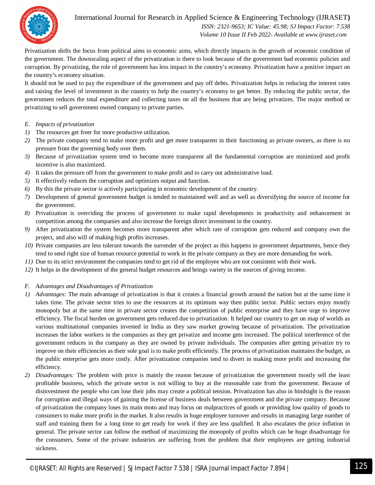

 *ISSN: 2321-9653; IC Value: 45.98; SJ Impact Factor: 7.538 Volume 10 Issue II Feb 2022- Available at www.ijraset.com*

Privatization shifts the focus from political aims to economic aims, which directly impacts in the growth of economic condition of the government. The downscaling aspect of the privatization is there to look because of the government bad economic policies and corruption. By privatizing, the role of government has less impact in the country's economy. Privatization have a positive impact on the country's economy situation.

It should not be used to pay the expenditure of the government and pay off debts. Privatization helps in reducing the interest rates and raising the level of investment in the country to help the country's economy to get better. By reducing the public sector, the government reduces the total expenditure and collecting taxes on all the business that are being privatizes. The major method or privatizing to sell government owned company to private parties.

## *E. Impacts of privatization*

- *1)* The resources get freer for more productive utilization.
- *2)* The private company tend to make more profit and get more transparent in their functioning as private owners, as there is no pressure from the governing body over them.
- *3)* Because of privatization system tend to become more transparent all the fundamental corruption are minimized and profit incentive is also maximized.
- *4)* It takes the pressure off from the government to make profit and to carry out administrative load.
- *5)* It effectively reduces the corruption and optimizes output and function.
- *6)* By this the private sector is actively participating in economic development of the country.
- *7)* Development of general government budget is tended to maintained well and as well as diversifying the source of income for the government.
- *8)* Privatization is overriding the process of government to make rapid developments in productivity and enhancement in competition among the companies and also increase the foreign direct investment in the country.
- *9)* After privatization the system becomes more transparent after which rate of corruption gets reduced and company own the project, and also will of making high profits increases.
- *10*) Private companies are less tolerant towards the surrender of the project as this happens in government departments, hence they tend to send right size of human resource potential to work in the private company as they are more demanding for work.
- *11)* Due to its strict environment the companies tend to get rid of the employee who are not consistent with their work.
- *12)* It helps in the development of the general budget resources and brings variety in the sources of giving income.

## *F. Advantages and Disadvantages of Privatization*

- *1) Advantages:* The main advantage of privatization is that it creates a financial growth around the nation but at the same time it takes time. The private sector tries to use the resources at its optimum way then public sector. Public sectors enjoy mostly monopoly but at the same time in private sector creates the competition of public enterprise and they have urge to improve efficiency. The fiscal burden on government gets reduced due to privatization. It helped our country to get on map of worlds as various multinational companies invested in India as they saw market growing because of privatization. The privatization increases the labor workers in the companies as they get privatize and income gets increased. The political interference of the government reduces in the company as they are owned by private individuals. The companies after getting privatize try to improve on their efficiencies as their sole goal is to make profit efficiently. The process of privatization maintains the budget, as the public enterprise gets more costly. After privatization companies tend to divert in making more profit and increasing the efficiency.
- *2) Disadvantages:* The problem with price is mainly the reason because of privatization the government mostly sell the least profitable business, which the private sector is not willing to buy at the reasonable rate from the government. Because of disinvestment the people who can lose their jobs may create a political tension. Privatization has also in hindsight is the reason for corruption and illegal ways of gaining the license of business deals between government and the private company. Because of privatization the company loses its main moto and may focus on malpractices of goods or providing low quality of goods to consumers to make more profit in the market. It also results in huge employee turnover and results in managing large number of staff and training them for a long time to get ready for work if they are less qualified. It also escalates the price inflation in general. The private sector can follow the method of maximizing the monopoly of profits which can be huge disadvantage for the consumers. Some of the private industries are suffering from the problem that their employees are getting industrial sickness.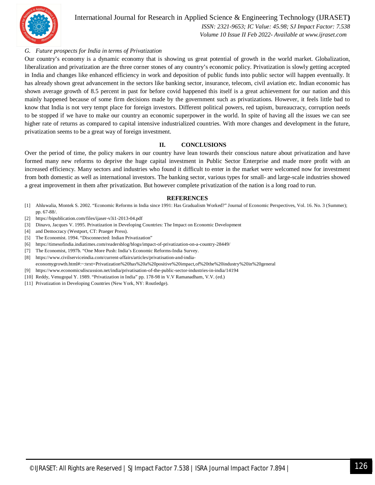

 *ISSN: 2321-9653; IC Value: 45.98; SJ Impact Factor: 7.538 Volume 10 Issue II Feb 2022- Available at www.ijraset.com*

## *G. Future prospects for India in terms of Privatization*

Our country's economy is a dynamic economy that is showing us great potential of growth in the world market. Globalization, liberalization and privatization are the three corner stones of any country's economic policy. Privatization is slowly getting accepted in India and changes like enhanced efficiency in work and deposition of public funds into public sector will happen eventually. It has already shown great advancement in the sectors like banking sector, insurance, telecom, civil aviation etc. Indian economic has shown average growth of 8.5 percent in past for before covid happened this itself is a great achievement for our nation and this mainly happened because of some firm decisions made by the government such as privatizations. However, it feels little bad to know that India is not very tempt place for foreign investors. Different political powers, red tapism, bureaucracy, corruption needs to be stopped if we have to make our country an economic superpower in the world. In spite of having all the issues we can see higher rate of returns as compared to capital intensive industrialized countries. With more changes and development in the future, privatization seems to be a great way of foreign investment.

### **II. CONCLUSIONS**

Over the period of time, the policy makers in our country have lean towards their conscious nature about privatization and have formed many new reforms to deprive the huge capital investment in Public Sector Enterprise and made more profit with an increased efficiency. Many sectors and industries who found it difficult to enter in the market were welcomed now for investment from both domestic as well as international investors. The banking sector, various types for small- and large-scale industries showed a great improvement in them after privatization. But however complete privatization of the nation is a long road to run.

#### **REFERENCES**

- [1] Ahluwalia, Montek S. 2002. "Economic Reforms in India since 1991: Has Gradualism Worked?" Journal of Economic Perspectives, Vol. 16. No. 3 (Summer); pp. 67-88/.
- [2] https://bipublication.com/files/ijaser-v3i1-2013-04.pdf
- [3] Dinavo, Jacques V. 1995. Privatization in Developing Countries: The Impact on Economic Development
- [4] and Democracy (Westport, CT: Praeger Press).
- [5] The Economist. 1994. "Disconnected: Indian Privatization"
- [6] https://timesofindia.indiatimes.com/readersblog/blogs/impact-of-privatization-on-a-country-28449/
- [7] The Economist, 1997b. "One More Push: India's Economic Reforms-India Survey.
- [8] https://www.civilserviceindia.com/current-affairs/articles/privatisation-and-india-
- economygrowth.html#:~:text=Privatization%20has%20a%20positive%20impact,of%20the%20industry%20in%20general
- [9] https://www.economicsdiscussion.net/india/privatisation-of-the-public-sector-industries-in-india/14194
- [10] Reddy, Venugopal Y. 1989. "Privatization in India" pp. 178-98 in V.V Ramanadham, V.V. (ed.)
- [11] Privatization in Developing Countries (New York, NY: Routledge).